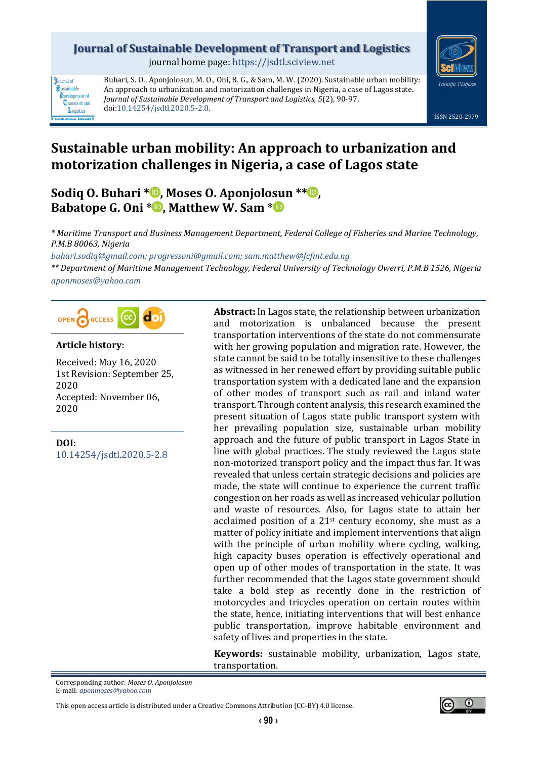# **Journal of Sustainable Development of Transport and Logistics**

journal home page: [https://jsdtl.sciview.net](https://jsdtl.sciview.net/)



**Tournal** of Sustainable **D**evelopment of **Transport** and Logistics

Buhari, S. O., Aponjolosun, M. O., Oni, B. G., & Sam, M. W. (2020). Sustainable urban mobility: An approach to urbanization and motorization challenges in Nigeria, a case of Lagos state. *Journal of Sustainable Development of Transport and Logistics, 5*(2), 90-97. doi[:10.14254/jsdtl.2020.5-2.8.](https://doi.org/10.14254/jsdtl.2020.5-2.8)



# **Sustainable urban mobility: An approach to urbanization and motorization challenges in Nigeria, a case of Lagos state**

**Sodiq O. Buhari [\\*](https://orcid.org/0000-0003-4590-679X) , Moses O. Aponjolosun \*[\\*](https://orcid.org/0000-0002-3656-7370) , Babatope G. Oni \* [,](https://orcid.org/0000-0001-9402-8116) Matthew W. Sam [\\*](https://orcid.org/0000-0002-9608-205X)**

*\* Maritime Transport and Business Management Department, Federal College of Fisheries and Marine Technology, P.M.B 80063, Nigeria*

*[buhari.sodiq@gmail.com;](mailto:buhari.sodiq@gmail.com) [progressoni@gmail.com;](mailto:progressoni@gmail.com) sam.matthew@fcfmt.edu.ng*

*\*\* Department of Maritime Management Technology, Federal University of Technology Owerri, P.M.B 1526, Nigeria [aponmoses@yahoo.com](mailto:aponmoses@yahoo.com)*



#### **Article history:**

Received: May 16, 2020 1st Revision: September 25, 2020 Accepted: November 06, 2020

**DOI:** [10.14254/jsdtl.2020.5-2.8](https://doi.org/10.14254/jsdtl.2020.5-2.8) **Abstract:** In Lagos state, the relationship between urbanization and motorization is unbalanced because the present transportation interventions of the state do not commensurate with her growing population and migration rate. However, the state cannot be said to be totally insensitive to these challenges as witnessed in her renewed effort by providing suitable public transportation system with a dedicated lane and the expansion of other modes of transport such as rail and inland water transport. Through content analysis, this research examined the present situation of Lagos state public transport system with her prevailing population size, sustainable urban mobility approach and the future of public transport in Lagos State in line with global practices. The study reviewed the Lagos state non-motorized transport policy and the impact thus far. It was revealed that unless certain strategic decisions and policies are made, the state will continue to experience the current traffic congestion on her roads as well as increased vehicular pollution and waste of resources. Also, for Lagos state to attain her acclaimed position of a 21st century economy, she must as a matter of policy initiate and implement interventions that align with the principle of urban mobility where cycling, walking, high capacity buses operation is effectively operational and open up of other modes of transportation in the state. It was further recommended that the Lagos state government should take a bold step as recently done in the restriction of motorcycles and tricycles operation on certain routes within the state, hence, initiating interventions that will best enhance public transportation, improve habitable environment and safety of lives and properties in the state.

**Keywords:** sustainable mobility, urbanization, Lagos state, transportation.

Corresponding author: *Moses O. Aponjolosun* E-mail: *[aponmoses@yahoo.com](mailto:aponmoses@yahoo.com)*

This open access article is distributed under [a Creative Commons Attribution \(CC-BY\) 4.0 license.](http://creativecommons.org/licenses/by/4.0/)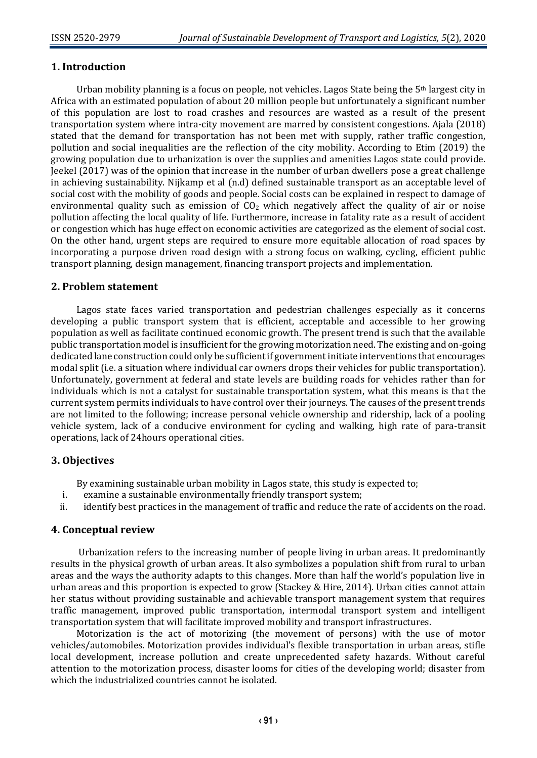# **1. Introduction**

Urban mobility planning is a focus on people, not vehicles. Lagos State being the 5<sup>th</sup> largest city in Africa with an estimated population of about 20 million people but unfortunately a significant number of this population are lost to road crashes and resources are wasted as a result of the present transportation system where intra-city movement are marred by consistent congestions. Ajala (2018) stated that the demand for transportation has not been met with supply, rather traffic congestion, pollution and social inequalities are the reflection of the city mobility. According to Etim (2019) the growing population due to urbanization is over the supplies and amenities Lagos state could provide. Jeekel (2017) was of the opinion that increase in the number of urban dwellers pose a great challenge in achieving sustainability. Nijkamp et al (n.d) defined sustainable transport as an acceptable level of social cost with the mobility of goods and people. Social costs can be explained in respect to damage of environmental quality such as emission of  $CO<sub>2</sub>$  which negatively affect the quality of air or noise pollution affecting the local quality of life. Furthermore, increase in fatality rate as a result of accident or congestion which has huge effect on economic activities are categorized as the element of social cost. On the other hand, urgent steps are required to ensure more equitable allocation of road spaces by incorporating a purpose driven road design with a strong focus on walking, cycling, efficient public transport planning, design management, financing transport projects and implementation.

#### **2. Problem statement**

Lagos state faces varied transportation and pedestrian challenges especially as it concerns developing a public transport system that is efficient, acceptable and accessible to her growing population as well as facilitate continued economic growth. The present trend is such that the available public transportation model is insufficient for the growing motorization need. The existing and on-going dedicated lane construction could only be sufficient if government initiate interventions that encourages modal split (i.e. a situation where individual car owners drops their vehicles for public transportation). Unfortunately, government at federal and state levels are building roads for vehicles rather than for individuals which is not a catalyst for sustainable transportation system, what this means is that the current system permits individuals to have control over their journeys. The causes of the present trends are not limited to the following; increase personal vehicle ownership and ridership, lack of a pooling vehicle system, lack of a conducive environment for cycling and walking, high rate of para-transit operations, lack of 24hours operational cities.

#### **3. Objectives**

By examining sustainable urban mobility in Lagos state, this study is expected to;

- i. examine a sustainable environmentally friendly transport system;
- ii. identify best practices in the management of traffic and reduce the rate of accidents on the road.

#### **4. Conceptual review**

Urbanization refers to the increasing number of people living in urban areas. It predominantly results in the physical growth of urban areas. It also symbolizes a population shift from rural to urban areas and the ways the authority adapts to this changes. More than half the world's population live in urban areas and this proportion is expected to grow (Stackey & Hire, 2014). Urban cities cannot attain her status without providing sustainable and achievable transport management system that requires traffic management, improved public transportation, intermodal transport system and intelligent transportation system that will facilitate improved mobility and transport infrastructures.

Motorization is the act of motorizing (the movement of persons) with the use of motor vehicles/automobiles. Motorization provides individual's flexible transportation in urban areas, stifle local development, increase pollution and create unprecedented safety hazards. Without careful attention to the motorization process, disaster looms for cities of the developing world; disaster from which the industrialized countries cannot be isolated.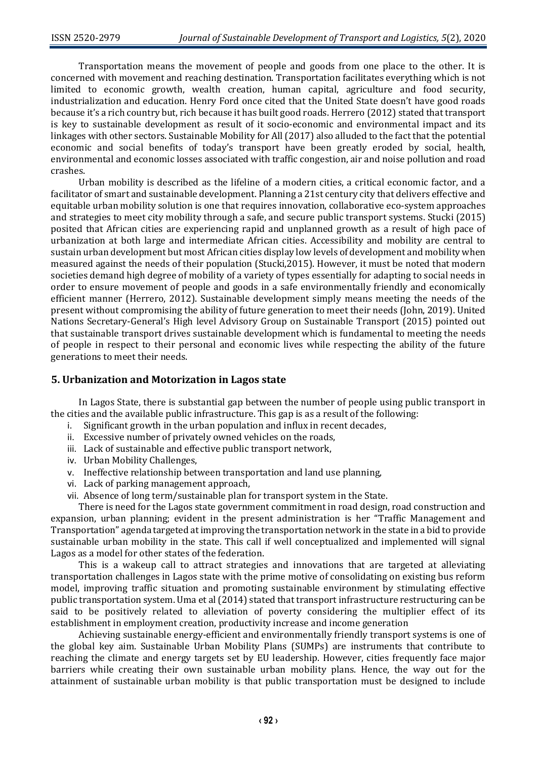Transportation means the movement of people and goods from one place to the other. It is concerned with movement and reaching destination. Transportation facilitates everything which is not limited to economic growth, wealth creation, human capital, agriculture and food security, industrialization and education. Henry Ford once cited that the United State doesn't have good roads because it's a rich country but, rich because it has built good roads. Herrero (2012) stated that transport is key to sustainable development as result of it socio-economic and environmental impact and its linkages with other sectors. Sustainable Mobility for All (2017) also alluded to the fact that the potential economic and social benefits of today's transport have been greatly eroded by social, health, environmental and economic losses associated with traffic congestion, air and noise pollution and road crashes.

Urban mobility is described as the lifeline of a modern cities, a critical economic factor, and a facilitator of smart and sustainable development. Planning a 21st century city that delivers effective and equitable urban mobility solution is one that requires innovation, collaborative eco-system approaches and strategies to meet city mobility through a safe, and secure public transport systems. Stucki (2015) posited that African cities are experiencing rapid and unplanned growth as a result of high pace of urbanization at both large and intermediate African cities. Accessibility and mobility are central to sustain urban development but most African cities display low levels of development and mobility when measured against the needs of their population (Stucki,2015). However, it must be noted that modern societies demand high degree of mobility of a variety of types essentially for adapting to social needs in order to ensure movement of people and goods in a safe environmentally friendly and economically efficient manner (Herrero, 2012). Sustainable development simply means meeting the needs of the present without compromising the ability of future generation to meet their needs (John, 2019). United Nations Secretary-General's High level Advisory Group on Sustainable Transport (2015) pointed out that sustainable transport drives sustainable development which is fundamental to meeting the needs of people in respect to their personal and economic lives while respecting the ability of the future generations to meet their needs.

#### **5. Urbanization and Motorization in Lagos state**

In Lagos State, there is substantial gap between the number of people using public transport in the cities and the available public infrastructure. This gap is as a result of the following:

- i. Significant growth in the urban population and influx in recent decades,
- ii. Excessive number of privately owned vehicles on the roads,
- iii. Lack of sustainable and effective public transport network,
- iv. Urban Mobility Challenges,
- v. Ineffective relationship between transportation and land use planning,
- vi. Lack of parking management approach,
- vii. Absence of long term/sustainable plan for transport system in the State.

There is need for the Lagos state government commitment in road design, road construction and expansion, urban planning; evident in the present administration is her "Traffic Management and Transportation" agenda targeted at improving the transportation network in the state in a bid to provide sustainable urban mobility in the state. This call if well conceptualized and implemented will signal Lagos as a model for other states of the federation.

This is a wakeup call to attract strategies and innovations that are targeted at alleviating transportation challenges in Lagos state with the prime motive of consolidating on existing bus reform model, improving traffic situation and promoting sustainable environment by stimulating effective public transportation system. Uma et al (2014) stated that transport infrastructure restructuring can be said to be positively related to alleviation of poverty considering the multiplier effect of its establishment in employment creation, productivity increase and income generation

Achieving sustainable energy-efficient and environmentally friendly transport systems is one of the global key aim. Sustainable Urban Mobility Plans (SUMPs) are instruments that contribute to reaching the climate and energy targets set by EU leadership. However, cities frequently face major barriers while creating their own sustainable urban mobility plans. Hence, the way out for the attainment of sustainable urban mobility is that public transportation must be designed to include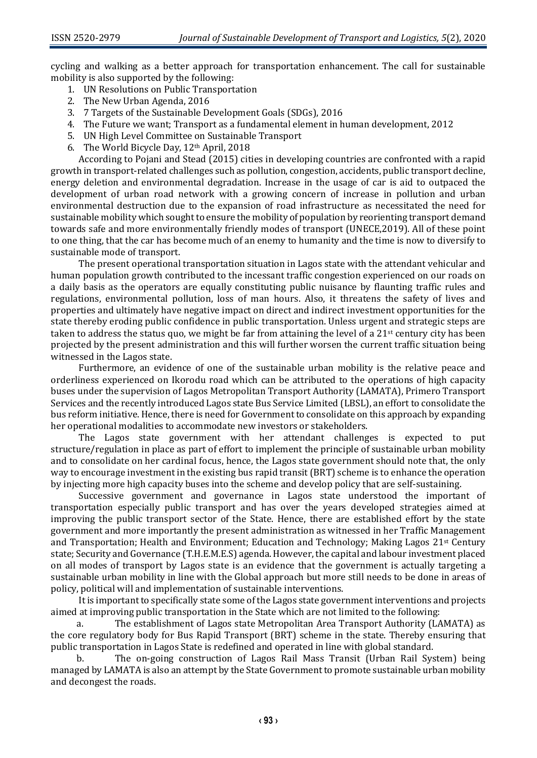cycling and walking as a better approach for transportation enhancement. The call for sustainable mobility is also supported by the following:

- 1. UN Resolutions on Public Transportation
- 2. The New Urban Agenda, 2016
- 3. 7 Targets of the Sustainable Development Goals (SDGs), 2016
- 4. The Future we want; Transport as a fundamental element in human development, 2012
- 5. UN High Level Committee on Sustainable Transport
- 6. The World Bicycle Day, 12th April, 2018

According to Pojani and Stead (2015) cities in developing countries are confronted with a rapid growth in transport-related challenges such as pollution, congestion, accidents, public transport decline, energy deletion and environmental degradation. Increase in the usage of car is aid to outpaced the development of urban road network with a growing concern of increase in pollution and urban environmental destruction due to the expansion of road infrastructure as necessitated the need for sustainable mobility which sought to ensure the mobility of population by reorienting transport demand towards safe and more environmentally friendly modes of transport (UNECE,2019). All of these point to one thing, that the car has become much of an enemy to humanity and the time is now to diversify to sustainable mode of transport.

The present operational transportation situation in Lagos state with the attendant vehicular and human population growth contributed to the incessant traffic congestion experienced on our roads on a daily basis as the operators are equally constituting public nuisance by flaunting traffic rules and regulations, environmental pollution, loss of man hours. Also, it threatens the safety of lives and properties and ultimately have negative impact on direct and indirect investment opportunities for the state thereby eroding public confidence in public transportation. Unless urgent and strategic steps are taken to address the status quo, we might be far from attaining the level of a  $21$ <sup>st</sup> century city has been projected by the present administration and this will further worsen the current traffic situation being witnessed in the Lagos state.

Furthermore, an evidence of one of the sustainable urban mobility is the relative peace and orderliness experienced on Ikorodu road which can be attributed to the operations of high capacity buses under the supervision of Lagos Metropolitan Transport Authority (LAMATA), Primero Transport Services and the recently introduced Lagos state Bus Service Limited (LBSL), an effort to consolidate the bus reform initiative. Hence, there is need for Government to consolidate on this approach by expanding her operational modalities to accommodate new investors or stakeholders.

The Lagos state government with her attendant challenges is expected to put structure/regulation in place as part of effort to implement the principle of sustainable urban mobility and to consolidate on her cardinal focus, hence, the Lagos state government should note that, the only way to encourage investment in the existing bus rapid transit (BRT) scheme is to enhance the operation by injecting more high capacity buses into the scheme and develop policy that are self-sustaining.

Successive government and governance in Lagos state understood the important of transportation especially public transport and has over the years developed strategies aimed at improving the public transport sector of the State. Hence, there are established effort by the state government and more importantly the present administration as witnessed in her Traffic Management and Transportation; Health and Environment; Education and Technology; Making Lagos 21st Century state; Security and Governance (T.H.E.M.E.S) agenda. However, the capital and labour investment placed on all modes of transport by Lagos state is an evidence that the government is actually targeting a sustainable urban mobility in line with the Global approach but more still needs to be done in areas of policy, political will and implementation of sustainable interventions.

It is important to specifically state some of the Lagos state government interventions and projects aimed at improving public transportation in the State which are not limited to the following:

The establishment of Lagos state Metropolitan Area Transport Authority (LAMATA) as the core regulatory body for Bus Rapid Transport (BRT) scheme in the state. Thereby ensuring that public transportation in Lagos State is redefined and operated in line with global standard.

b. The on-going construction of Lagos Rail Mass Transit (Urban Rail System) being managed by LAMATA is also an attempt by the State Government to promote sustainable urban mobility and decongest the roads.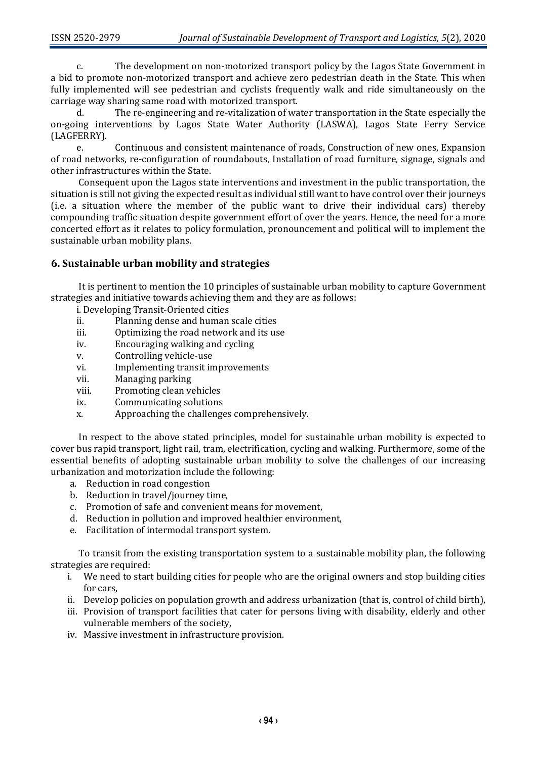c. The development on non-motorized transport policy by the Lagos State Government in a bid to promote non-motorized transport and achieve zero pedestrian death in the State. This when fully implemented will see pedestrian and cyclists frequently walk and ride simultaneously on the carriage way sharing same road with motorized transport.

d. The re-engineering and re-vitalization of water transportation in the State especially the on-going interventions by Lagos State Water Authority (LASWA), Lagos State Ferry Service (LAGFERRY).

e. Continuous and consistent maintenance of roads, Construction of new ones, Expansion of road networks, re-configuration of roundabouts, Installation of road furniture, signage, signals and other infrastructures within the State.

Consequent upon the Lagos state interventions and investment in the public transportation, the situation is still not giving the expected result as individual still want to have control over their journeys (i.e. a situation where the member of the public want to drive their individual cars) thereby compounding traffic situation despite government effort of over the years. Hence, the need for a more concerted effort as it relates to policy formulation, pronouncement and political will to implement the sustainable urban mobility plans.

# **6. Sustainable urban mobility and strategies**

It is pertinent to mention the 10 principles of sustainable urban mobility to capture Government strategies and initiative towards achieving them and they are as follows:

- i.Developing Transit-Oriented cities
- ii. Planning dense and human scale cities
- iii. Optimizing the road network and its use
- iv. Encouraging walking and cycling
- v. Controlling vehicle-use
- vi. Implementing transit improvements
- vii. Managing parking
- viii. Promoting clean vehicles
- ix. Communicating solutions
- x. Approaching the challenges comprehensively.

In respect to the above stated principles, model for sustainable urban mobility is expected to cover bus rapid transport, light rail, tram, electrification, cycling and walking. Furthermore, some of the essential benefits of adopting sustainable urban mobility to solve the challenges of our increasing urbanization and motorization include the following:

- a. Reduction in road congestion
- b. Reduction in travel/journey time,
- c. Promotion of safe and convenient means for movement,
- d. Reduction in pollution and improved healthier environment,
- e. Facilitation of intermodal transport system.

To transit from the existing transportation system to a sustainable mobility plan, the following strategies are required:

- i. We need to start building cities for people who are the original owners and stop building cities for cars,
- ii. Develop policies on population growth and address urbanization (that is, control of child birth),
- iii. Provision of transport facilities that cater for persons living with disability, elderly and other vulnerable members of the society,
- iv. Massive investment in infrastructure provision.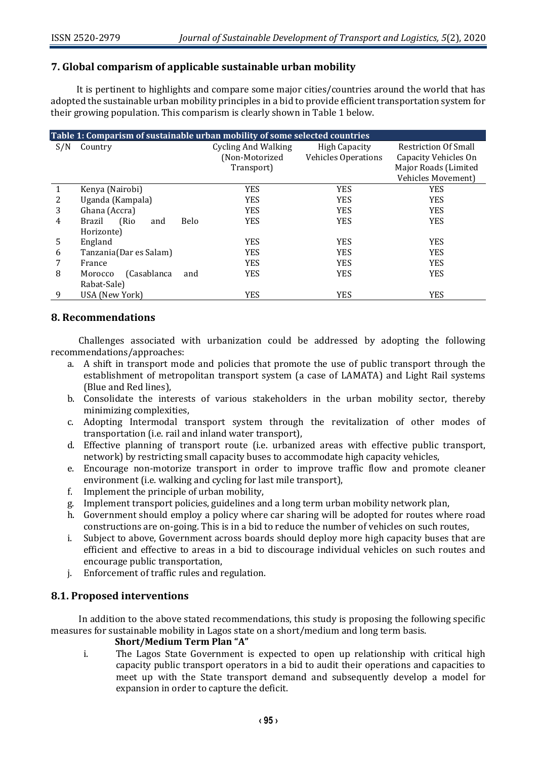# **7. Global comparism of applicable sustainable urban mobility**

It is pertinent to highlights and compare some major cities/countries around the world that has adopted the sustainable urban mobility principles in a bid to provide efficient transportation system for their growing population. This comparism is clearly shown in Table 1 below.

| Table 1: Comparism of sustainable urban mobility of some selected countries |                                       |                            |                            |                             |  |
|-----------------------------------------------------------------------------|---------------------------------------|----------------------------|----------------------------|-----------------------------|--|
| S/N                                                                         | Country                               | <b>Cycling And Walking</b> | <b>High Capacity</b>       | <b>Restriction Of Small</b> |  |
|                                                                             |                                       | (Non-Motorized             | <b>Vehicles Operations</b> | Capacity Vehicles On        |  |
|                                                                             |                                       | Transport)                 |                            | Major Roads (Limited        |  |
|                                                                             |                                       |                            |                            | <b>Vehicles Movement)</b>   |  |
|                                                                             | Kenya (Nairobi)                       | <b>YES</b>                 | <b>YES</b>                 | <b>YES</b>                  |  |
| 2                                                                           | Uganda (Kampala)                      | <b>YES</b>                 | <b>YES</b>                 | <b>YES</b>                  |  |
| 3                                                                           | Ghana (Accra)                         | <b>YES</b>                 | <b>YES</b>                 | <b>YES</b>                  |  |
| 4                                                                           | (Rio)<br><b>Belo</b><br>Brazil<br>and | <b>YES</b>                 | <b>YES</b>                 | <b>YES</b>                  |  |
|                                                                             | Horizonte)                            |                            |                            |                             |  |
| 5                                                                           | England                               | <b>YES</b>                 | <b>YES</b>                 | <b>YES</b>                  |  |
| 6                                                                           | Tanzania(Dar es Salam)                | <b>YES</b>                 | <b>YES</b>                 | <b>YES</b>                  |  |
|                                                                             | France                                | <b>YES</b>                 | <b>YES</b>                 | <b>YES</b>                  |  |
| 8                                                                           | (Casablanca<br>and<br>Morocco         | <b>YES</b>                 | <b>YES</b>                 | <b>YES</b>                  |  |
|                                                                             | Rabat-Sale)                           |                            |                            |                             |  |
| 9                                                                           | USA (New York)                        | <b>YES</b>                 | <b>YES</b>                 | YES                         |  |

# **8. Recommendations**

Challenges associated with urbanization could be addressed by adopting the following recommendations/approaches:

- a. A shift in transport mode and policies that promote the use of public transport through the establishment of metropolitan transport system (a case of LAMATA) and Light Rail systems (Blue and Red lines),
- b. Consolidate the interests of various stakeholders in the urban mobility sector, thereby minimizing complexities,
- c. Adopting Intermodal transport system through the revitalization of other modes of transportation (i.e. rail and inland water transport),
- d. Effective planning of transport route (i.e. urbanized areas with effective public transport, network) by restricting small capacity buses to accommodate high capacity vehicles,
- e. Encourage non-motorize transport in order to improve traffic flow and promote cleaner environment (i.e. walking and cycling for last mile transport),
- f. Implement the principle of urban mobility,
- g. Implement transport policies, guidelines and a long term urban mobility network plan,
- h. Government should employ a policy where car sharing will be adopted for routes where road constructions are on-going. This is in a bid to reduce the number of vehicles on such routes,
- i. Subject to above, Government across boards should deploy more high capacity buses that are efficient and effective to areas in a bid to discourage individual vehicles on such routes and encourage public transportation,
- j. Enforcement of traffic rules and regulation.

# **8.1. Proposed interventions**

In addition to the above stated recommendations, this study is proposing the following specific measures for sustainable mobility in Lagos state on a short/medium and long term basis.

#### **Short/Medium Term Plan "A"**

i. The Lagos State Government is expected to open up relationship with critical high capacity public transport operators in a bid to audit their operations and capacities to meet up with the State transport demand and subsequently develop a model for expansion in order to capture the deficit.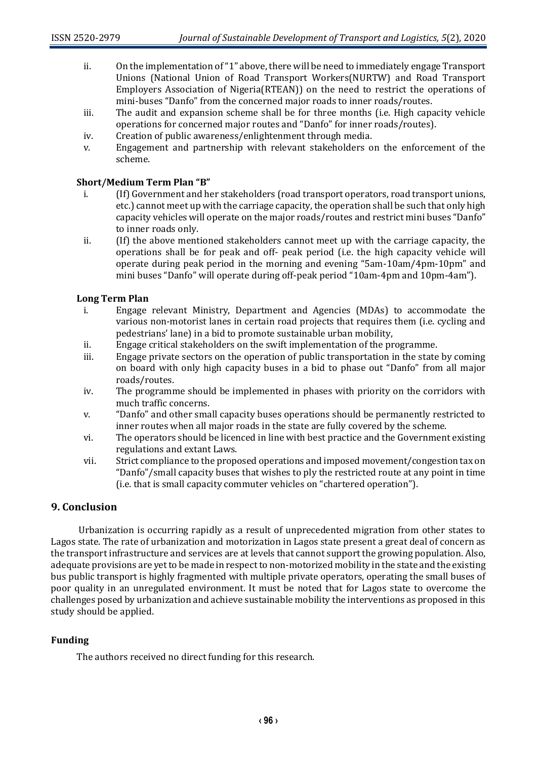- ii. On the implementation of "1" above, there will be need to immediately engage Transport Unions (National Union of Road Transport Workers(NURTW) and Road Transport Employers Association of Nigeria(RTEAN)) on the need to restrict the operations of mini-buses "Danfo" from the concerned major roads to inner roads/routes.
- iii. The audit and expansion scheme shall be for three months (i.e. High capacity vehicle operations for concerned major routes and "Danfo" for inner roads/routes).
- iv. Creation of public awareness/enlightenment through media.
- v. Engagement and partnership with relevant stakeholders on the enforcement of the scheme.

# **Short/Medium Term Plan "B"**

- i. (If) Government and her stakeholders (road transport operators, road transport unions, etc.) cannot meet up with the carriage capacity, the operation shall be such that only high capacity vehicles will operate on the major roads/routes and restrict mini buses "Danfo" to inner roads only.
- ii. (If) the above mentioned stakeholders cannot meet up with the carriage capacity, the operations shall be for peak and off- peak period (i.e. the high capacity vehicle will operate during peak period in the morning and evening "5am-10am/4pm-10pm" and mini buses "Danfo" will operate during off-peak period "10am-4pm and 10pm-4am").

# **Long Term Plan**

- i. Engage relevant Ministry, Department and Agencies (MDAs) to accommodate the various non-motorist lanes in certain road projects that requires them (i.e. cycling and pedestrians' lane) in a bid to promote sustainable urban mobility,
- ii. Engage critical stakeholders on the swift implementation of the programme.
- iii. Engage private sectors on the operation of public transportation in the state by coming on board with only high capacity buses in a bid to phase out "Danfo" from all major roads/routes.
- iv. The programme should be implemented in phases with priority on the corridors with much traffic concerns.
- v. "Danfo" and other small capacity buses operations should be permanently restricted to inner routes when all major roads in the state are fully covered by the scheme.
- vi. The operators should be licenced in line with best practice and the Government existing regulations and extant Laws.
- vii. Strict compliance to the proposed operations and imposed movement/congestion tax on "Danfo"/small capacity buses that wishes to ply the restricted route at any point in time (i.e. that is small capacity commuter vehicles on "chartered operation").

# **9. Conclusion**

Urbanization is occurring rapidly as a result of unprecedented migration from other states to Lagos state. The rate of urbanization and motorization in Lagos state present a great deal of concern as the transport infrastructure and services are at levels that cannot support the growing population. Also, adequate provisions are yet to be made in respectto non-motorized mobility in the state and the existing bus public transport is highly fragmented with multiple private operators, operating the small buses of poor quality in an unregulated environment. It must be noted that for Lagos state to overcome the challenges posed by urbanization and achieve sustainable mobility the interventions as proposed in this study should be applied.

# **Funding**

The authors received no direct funding for this research.